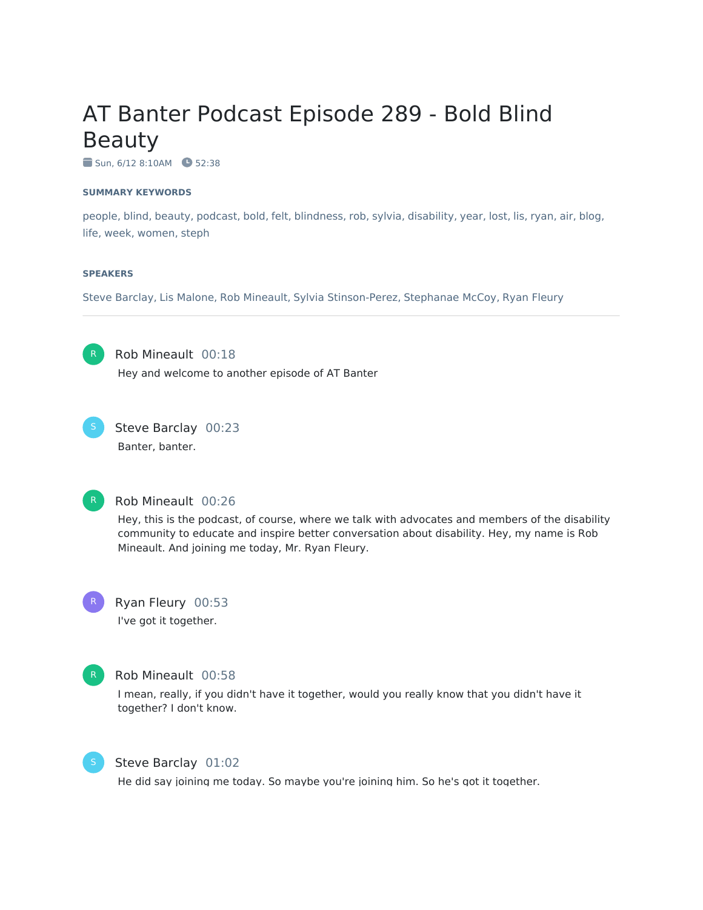# AT Banter Podcast Episode 289 - Bold Blind Beauty

 $\bullet$  Sun, 6/12 8:10AM  $\bullet$  52:38

#### **SUMMARY KEYWORDS**

people, blind, beauty, podcast, bold, felt, blindness, rob, sylvia, disability, year, lost, lis, ryan, air, blog, life, week, women, steph

#### **SPEAKERS**

Steve Barclay, Lis Malone, Rob Mineault, Sylvia Stinson-Perez, Stephanae McCoy, Ryan Fleury

R

Rob Mineault 00:18 Hey and welcome to another episode of AT Banter



Steve Barclay 00:23 Banter, banter.



#### Rob Mineault 00:26

Hey, this is the podcast, of course, where we talk with advocates and members of the disability community to educate and inspire better conversation about disability. Hey, my name is Rob Mineault. And joining me today, Mr. Ryan Fleury.



# Ryan Fleury 00:53

I've got it together.



#### Rob Mineault 00:58

I mean, really, if you didn't have it together, would you really know that you didn't have it together? I don't know.



#### Steve Barclay 01:02

He did say joining me today. So maybe you're joining him. So he's got it together.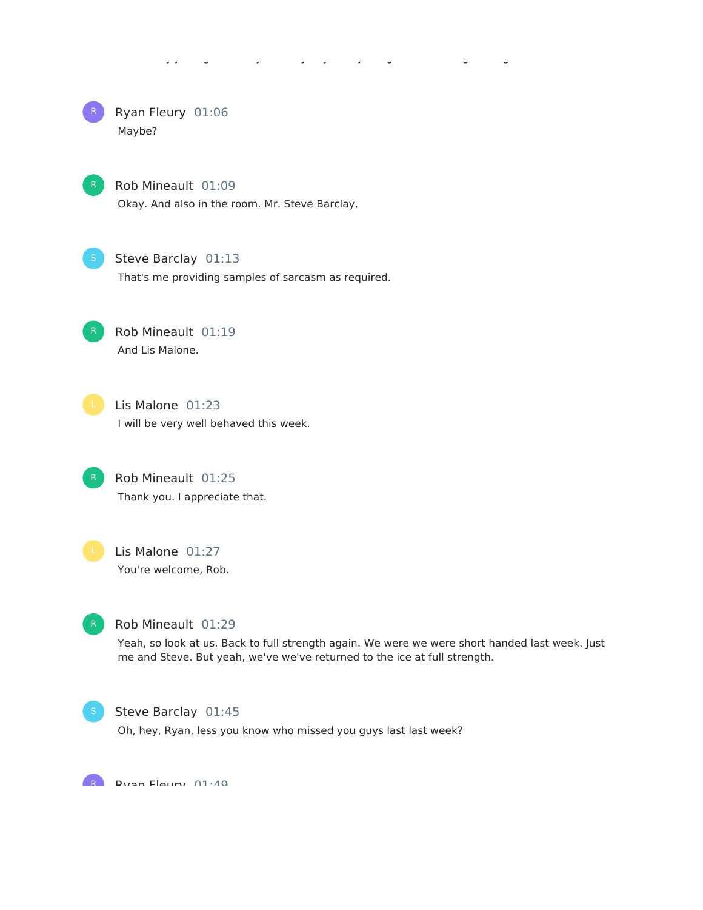# He did say joining me today. So maybe you're joining him. So he's got it together.



### Rob Mineault 01:09

Okay. And also in the room. Mr. Steve Barclay,



# Steve Barclay 01:13

That's me providing samples of sarcasm as required.



Rob Mineault 01:19 And Lis Malone.



Lis Malone 01:23 I will be very well behaved this week.

Rob Mineault 01:25 Thank you. I appreciate that.



Lis Malone 01:27 You're welcome, Rob.



# Rob Mineault 01:29

Yeah, so look at us. Back to full strength again. We were we were short handed last week. Just me and Steve. But yeah, we've we've returned to the ice at full strength.



#### Steve Barclay 01:45

Oh, hey, Ryan, less you know who missed you guys last last week?

R Divan Floury 01:40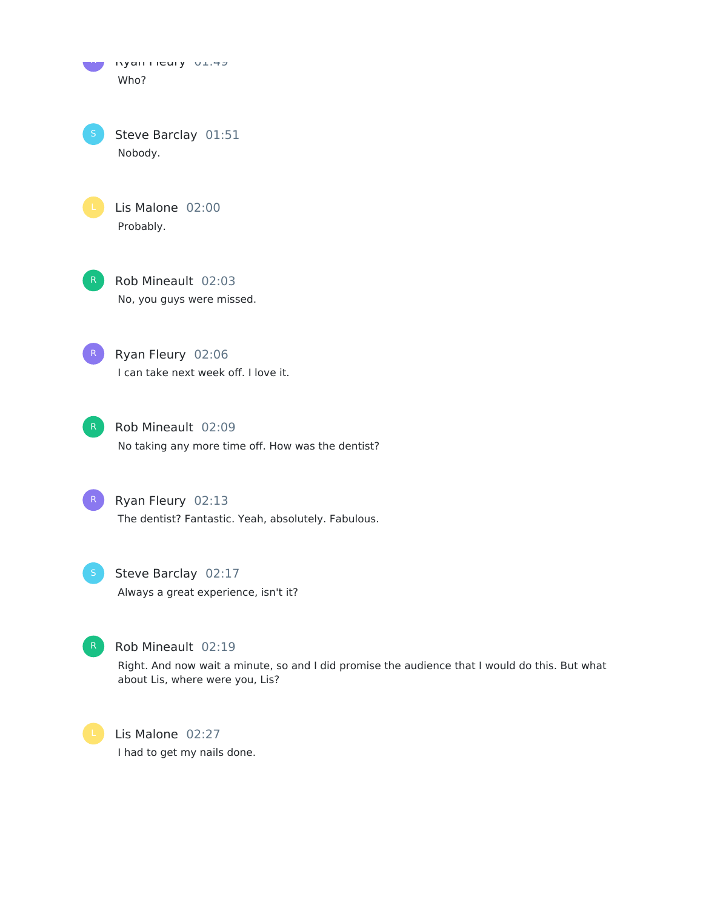Ryan ricury views Who?

Steve Barclay 01:51 Nobody.

Lis Malone 02:00 Probably.



Rob Mineault 02:03 No, you guys were missed.

Ryan Fleury 02:06 I can take next week off. I love it.



Rob Mineault 02:09 No taking any more time off. How was the dentist?

R Ryan Fleury 02:13 The dentist? Fantastic. Yeah, absolutely. Fabulous.

Steve Barclay 02:17 Always a great experience, isn't it?



Rob Mineault 02:19

Right. And now wait a minute, so and I did promise the audience that I would do this. But what about Lis, where were you, Lis?

Lis Malone 02:27 I had to get my nails done.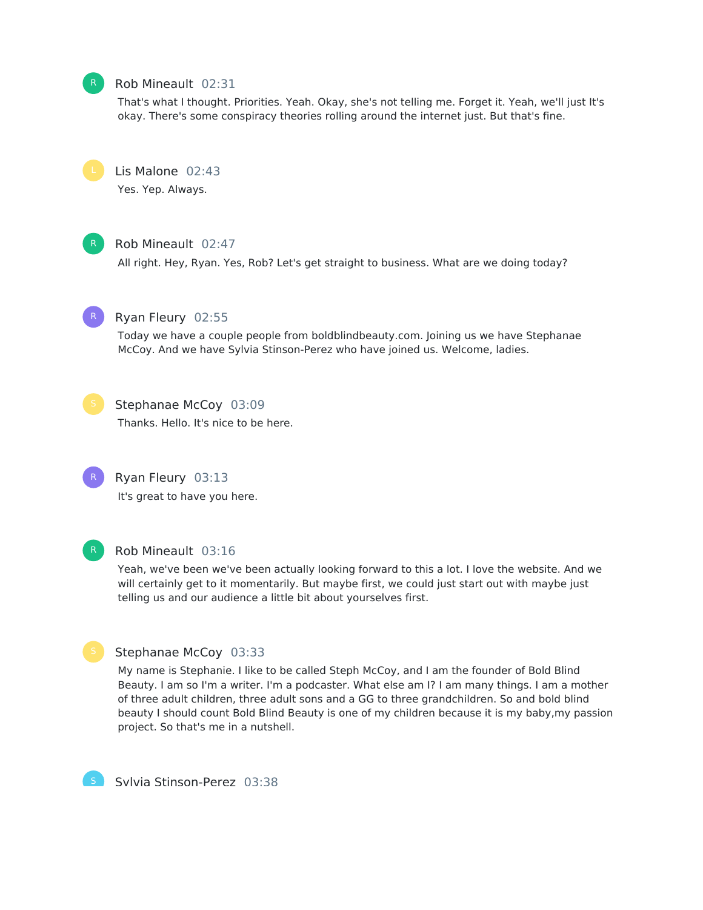# Rob Mineault 02:31

That's what I thought. Priorities. Yeah. Okay, she's not telling me. Forget it. Yeah, we'll just It's okay. There's some conspiracy theories rolling around the internet just. But that's fine.



Yes. Yep. Always.



# Rob Mineault 02:47

All right. Hey, Ryan. Yes, Rob? Let's get straight to business. What are we doing today?



# Ryan Fleury 02:55

Today we have a couple people from boldblindbeauty.com. Joining us we have Stephanae McCoy. And we have Sylvia Stinson-Perez who have joined us. Welcome, ladies.



# Stephanae McCoy 03:09

Thanks. Hello. It's nice to be here.



It's great to have you here.

Ryan Fleury 03:13



# Rob Mineault 03:16

Yeah, we've been we've been actually looking forward to this a lot. I love the website. And we will certainly get to it momentarily. But maybe first, we could just start out with maybe just telling us and our audience a little bit about yourselves first.

# Stephanae McCoy 03:33

My name is Stephanie. I like to be called Steph McCoy, and I am the founder of Bold Blind Beauty. I am so I'm a writer. I'm a podcaster. What else am I? I am many things. I am a mother of three adult children, three adult sons and a GG to three grandchildren. So and bold blind beauty I should count Bold Blind Beauty is one of my children because it is my baby,my passion project. So that's me in a nutshell.



Sylvia Stinson-Perez 03:38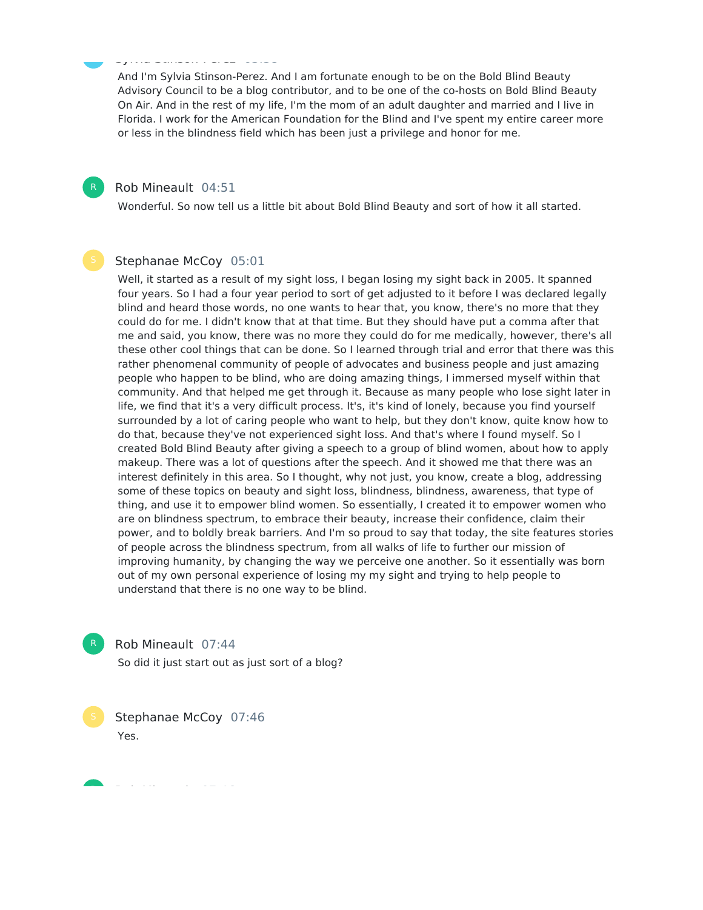#### Sylvia Stinson-Perez 03:38

And I'm Sylvia Stinson-Perez. And I am fortunate enough to be on the Bold Blind Beauty Advisory Council to be a blog contributor, and to be one of the co-hosts on Bold Blind Beauty On Air. And in the rest of my life, I'm the mom of an adult daughter and married and I live in Florida. I work for the American Foundation for the Blind and I've spent my entire career more or less in the blindness field which has been just a privilege and honor for me.

#### Rob Mineault 04:51

Wonderful. So now tell us a little bit about Bold Blind Beauty and sort of how it all started.

#### Stephanae McCoy 05:01

Well, it started as a result of my sight loss, I began losing my sight back in 2005. It spanned four years. So I had a four year period to sort of get adjusted to it before I was declared legally blind and heard those words, no one wants to hear that, you know, there's no more that they could do for me. I didn't know that at that time. But they should have put a comma after that me and said, you know, there was no more they could do for me medically, however, there's all these other cool things that can be done. So I learned through trial and error that there was this rather phenomenal community of people of advocates and business people and just amazing people who happen to be blind, who are doing amazing things, I immersed myself within that community. And that helped me get through it. Because as many people who lose sight later in life, we find that it's a very difficult process. It's, it's kind of lonely, because you find yourself surrounded by a lot of caring people who want to help, but they don't know, quite know how to do that, because they've not experienced sight loss. And that's where I found myself. So I created Bold Blind Beauty after giving a speech to a group of blind women, about how to apply makeup. There was a lot of questions after the speech. And it showed me that there was an interest definitely in this area. So I thought, why not just, you know, create a blog, addressing some of these topics on beauty and sight loss, blindness, blindness, awareness, that type of thing, and use it to empower blind women. So essentially, I created it to empower women who are on blindness spectrum, to embrace their beauty, increase their confidence, claim their power, and to boldly break barriers. And I'm so proud to say that today, the site features stories of people across the blindness spectrum, from all walks of life to further our mission of improving humanity, by changing the way we perceive one another. So it essentially was born out of my own personal experience of losing my my sight and trying to help people to understand that there is no one way to be blind.



Rob Mineault 07:44

So did it just start out as just sort of a blog?

Stephanae McCoy 07:46 Yes.

Rob Mineault 07:46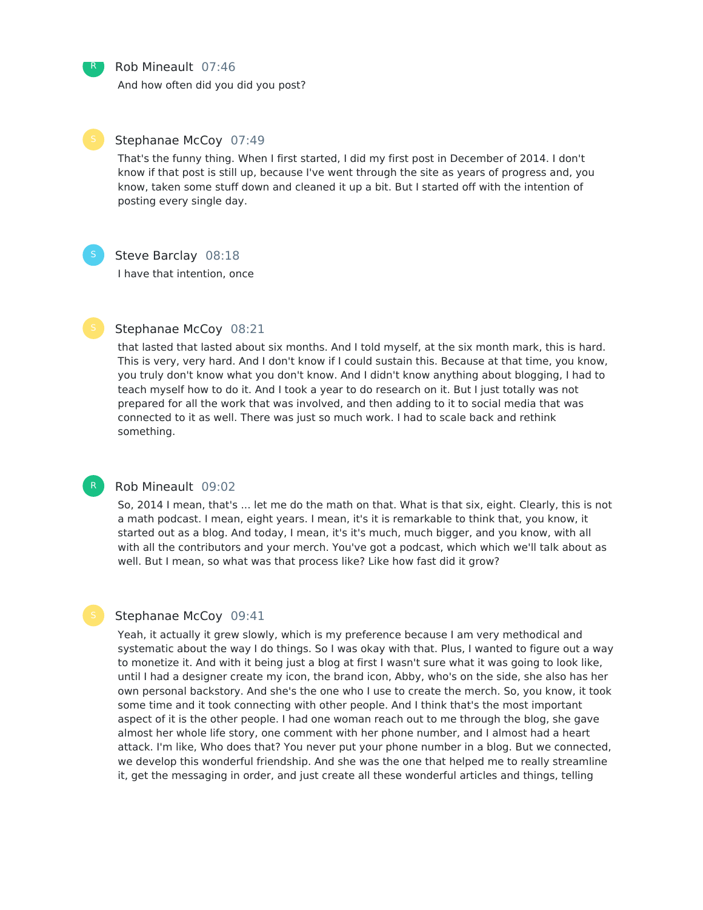Rob Mineault 07:46

And how often did you did you post?

R

#### Stephanae McCoy 07:49

That's the funny thing. When I first started, I did my first post in December of 2014. I don't know if that post is still up, because I've went through the site as years of progress and, you know, taken some stuff down and cleaned it up a bit. But I started off with the intention of posting every single day.

R

### Steve Barclay 08:18

I have that intention, once

# Stephanae McCoy 08:21

that lasted that lasted about six months. And I told myself, at the six month mark, this is hard. This is very, very hard. And I don't know if I could sustain this. Because at that time, you know, you truly don't know what you don't know. And I didn't know anything about blogging, I had to teach myself how to do it. And I took a year to do research on it. But I just totally was not prepared for all the work that was involved, and then adding to it to social media that was connected to it as well. There was just so much work. I had to scale back and rethink something.

# Rob Mineault 09:02

So, 2014 I mean, that's ... let me do the math on that. What is that six, eight. Clearly, this is not a math podcast. I mean, eight years. I mean, it's it is remarkable to think that, you know, it started out as a blog. And today, I mean, it's it's much, much bigger, and you know, with all with all the contributors and your merch. You've got a podcast, which which we'll talk about as well. But I mean, so what was that process like? Like how fast did it grow?

#### Stephanae McCoy 09:41

Yeah, it actually it grew slowly, which is my preference because I am very methodical and systematic about the way I do things. So I was okay with that. Plus, I wanted to figure out a way to monetize it. And with it being just a blog at first I wasn't sure what it was going to look like, until I had a designer create my icon, the brand icon, Abby, who's on the side, she also has her own personal backstory. And she's the one who I use to create the merch. So, you know, it took some time and it took connecting with other people. And I think that's the most important aspect of it is the other people. I had one woman reach out to me through the blog, she gave almost her whole life story, one comment with her phone number, and I almost had a heart attack. I'm like, Who does that? You never put your phone number in a blog. But we connected, we develop this wonderful friendship. And she was the one that helped me to really streamline it, get the messaging in order, and just create all these wonderful articles and things, telling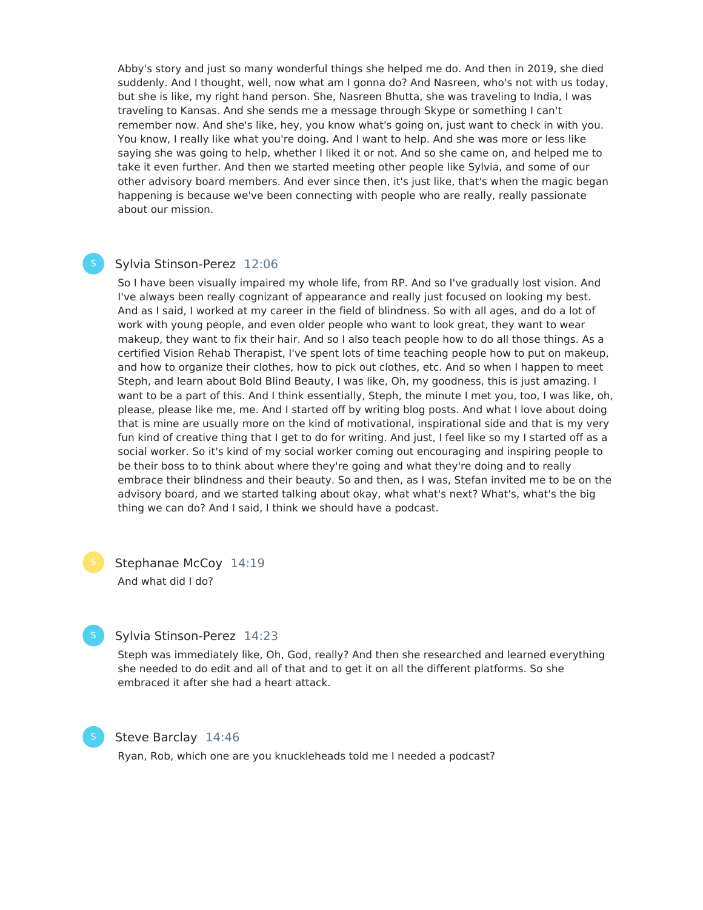Abby's story and just so many wonderful things she helped me do. And then in 2019, she died suddenly. And I thought, well, now what am I gonna do? And Nasreen, who's not with us today, but she is like, my right hand person. She, Nasreen Bhutta, she was traveling to India, I was traveling to Kansas. And she sends me a message through Skype or something I can't remember now. And she's like, hey, you know what's going on, just want to check in with you. You know, I really like what you're doing. And I want to help. And she was more or less like saying she was going to help, whether I liked it or not. And so she came on, and helped me to take it even further. And then we started meeting other people like Sylvia, and some of our other advisory board members. And ever since then, it's just like, that's when the magic began happening is because we've been connecting with people who are really, really passionate about our mission.

### Sylvia Stinson-Perez 12:06

So I have been visually impaired my whole life, from RP. And so I've gradually lost vision. And I've always been really cognizant of appearance and really just focused on looking my best. And as I said, I worked at my career in the field of blindness. So with all ages, and do a lot of work with young people, and even older people who want to look great, they want to wear makeup, they want to fix their hair. And so I also teach people how to do all those things. As a certified Vision Rehab Therapist, I've spent lots of time teaching people how to put on makeup, and how to organize their clothes, how to pick out clothes, etc. And so when I happen to meet Steph, and learn about Bold Blind Beauty, I was like, Oh, my goodness, this is just amazing. I want to be a part of this. And I think essentially, Steph, the minute I met you, too, I was like, oh, please, please like me, me. And I started off by writing blog posts. And what I love about doing that is mine are usually more on the kind of motivational, inspirational side and that is my very fun kind of creative thing that I get to do for writing. And just, I feel like so my I started off as a social worker. So it's kind of my social worker coming out encouraging and inspiring people to be their boss to to think about where they're going and what they're doing and to really embrace their blindness and their beauty. So and then, as I was, Stefan invited me to be on the advisory board, and we started talking about okay, what what's next? What's, what's the big thing we can do? And I said, I think we should have a podcast.

Stephanae McCoy 14:19 And what did I do?



Steph was immediately like, Oh, God, really? And then she researched and learned everything she needed to do edit and all of that and to get it on all the different platforms. So she embraced it after she had a heart attack.

### Steve Barclay 14:46

Ryan, Rob, which one are you knuckleheads told me I needed a podcast?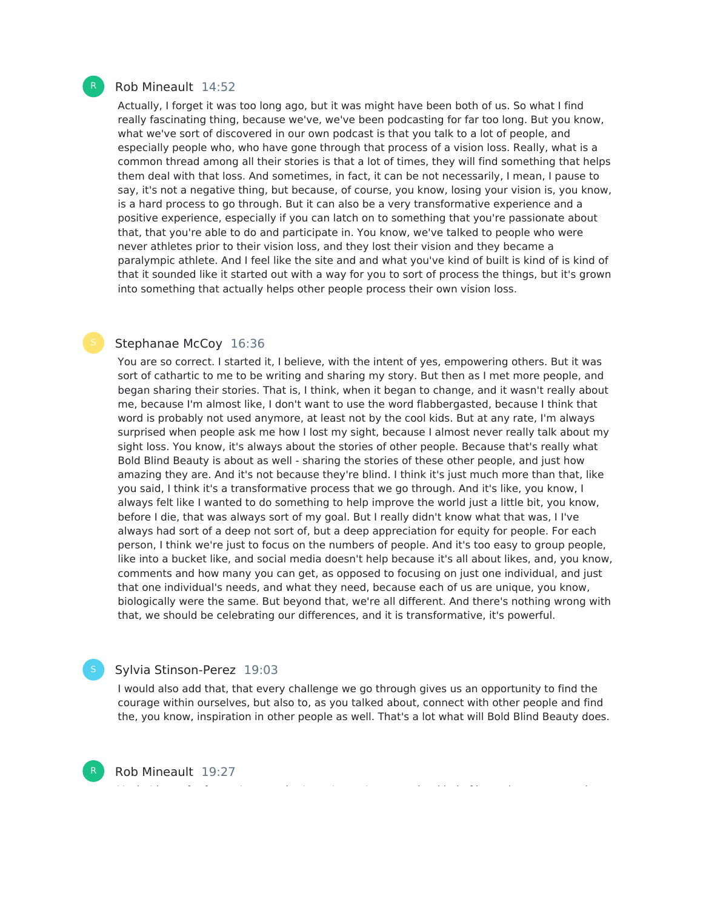#### Rob Mineault 14:52

Actually, I forget it was too long ago, but it was might have been both of us. So what I find really fascinating thing, because we've, we've been podcasting for far too long. But you know, what we've sort of discovered in our own podcast is that you talk to a lot of people, and especially people who, who have gone through that process of a vision loss. Really, what is a common thread among all their stories is that a lot of times, they will find something that helps them deal with that loss. And sometimes, in fact, it can be not necessarily, I mean, I pause to say, it's not a negative thing, but because, of course, you know, losing your vision is, you know, is a hard process to go through. But it can also be a very transformative experience and a positive experience, especially if you can latch on to something that you're passionate about that, that you're able to do and participate in. You know, we've talked to people who were never athletes prior to their vision loss, and they lost their vision and they became a paralympic athlete. And I feel like the site and and what you've kind of built is kind of is kind of that it sounded like it started out with a way for you to sort of process the things, but it's grown into something that actually helps other people process their own vision loss.

#### Stephanae McCoy 16:36

You are so correct. I started it, I believe, with the intent of yes, empowering others. But it was sort of cathartic to me to be writing and sharing my story. But then as I met more people, and began sharing their stories. That is, I think, when it began to change, and it wasn't really about me, because I'm almost like, I don't want to use the word flabbergasted, because I think that word is probably not used anymore, at least not by the cool kids. But at any rate, I'm always surprised when people ask me how I lost my sight, because I almost never really talk about my sight loss. You know, it's always about the stories of other people. Because that's really what Bold Blind Beauty is about as well - sharing the stories of these other people, and just how amazing they are. And it's not because they're blind. I think it's just much more than that, like you said, I think it's a transformative process that we go through. And it's like, you know, I always felt like I wanted to do something to help improve the world just a little bit, you know, before I die, that was always sort of my goal. But I really didn't know what that was, I I've always had sort of a deep not sort of, but a deep appreciation for equity for people. For each person, I think we're just to focus on the numbers of people. And it's too easy to group people, like into a bucket like, and social media doesn't help because it's all about likes, and, you know, comments and how many you can get, as opposed to focusing on just one individual, and just that one individual's needs, and what they need, because each of us are unique, you know, biologically were the same. But beyond that, we're all different. And there's nothing wrong with that, we should be celebrating our differences, and it is transformative, it's powerful.

# Sylvia Stinson-Perez 19:03

I would also add that, that every challenge we go through gives us an opportunity to find the courage within ourselves, but also to, as you talked about, connect with other people and find the, you know, inspiration in other people as well. That's a lot what will Bold Blind Beauty does.

Rob Mineault 19:27

R

R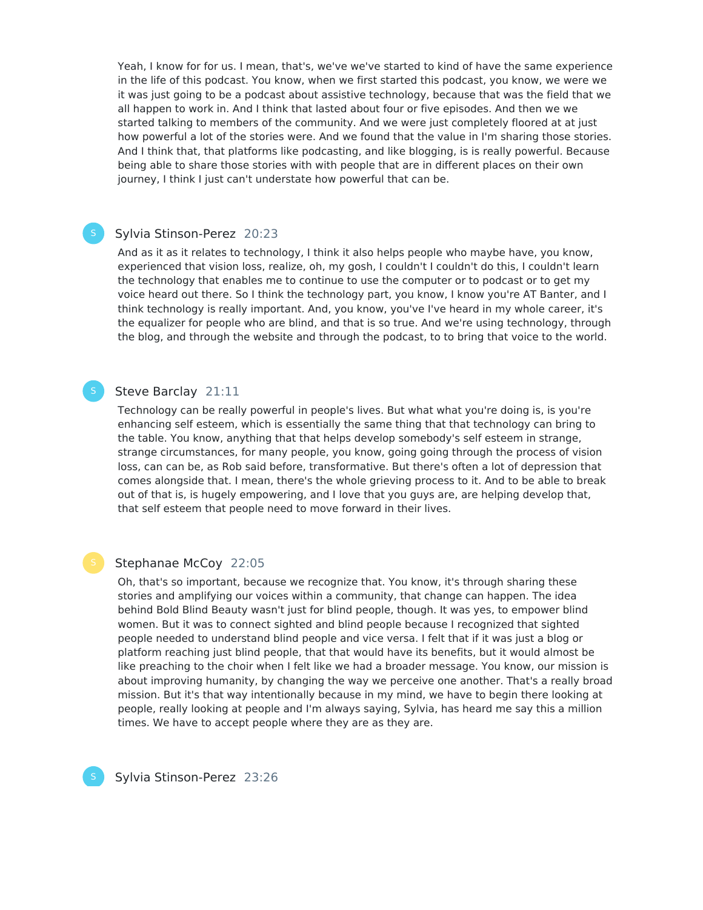Yeah, I know for for us. I mean, that's, we've we've started to kind of have the same experience in the life of this podcast. You know, when we first started this podcast, you know, we were we it was just going to be a podcast about assistive technology, because that was the field that we all happen to work in. And I think that lasted about four or five episodes. And then we we started talking to members of the community. And we were just completely floored at at just how powerful a lot of the stories were. And we found that the value in I'm sharing those stories. And I think that, that platforms like podcasting, and like blogging, is is really powerful. Because being able to share those stories with with people that are in different places on their own journey, I think I just can't understate how powerful that can be.

# Sylvia Stinson-Perez 20:23

And as it as it relates to technology, I think it also helps people who maybe have, you know, experienced that vision loss, realize, oh, my gosh, I couldn't I couldn't do this, I couldn't learn the technology that enables me to continue to use the computer or to podcast or to get my voice heard out there. So I think the technology part, you know, I know you're AT Banter, and I think technology is really important. And, you know, you've I've heard in my whole career, it's the equalizer for people who are blind, and that is so true. And we're using technology, through the blog, and through the website and through the podcast, to to bring that voice to the world.

# Steve Barclay 21:11

Technology can be really powerful in people's lives. But what what you're doing is, is you're enhancing self esteem, which is essentially the same thing that that technology can bring to the table. You know, anything that that helps develop somebody's self esteem in strange, strange circumstances, for many people, you know, going going through the process of vision loss, can can be, as Rob said before, transformative. But there's often a lot of depression that comes alongside that. I mean, there's the whole grieving process to it. And to be able to break out of that is, is hugely empowering, and I love that you guys are, are helping develop that, that self esteem that people need to move forward in their lives.

#### Stephanae McCoy 22:05

Oh, that's so important, because we recognize that. You know, it's through sharing these stories and amplifying our voices within a community, that change can happen. The idea behind Bold Blind Beauty wasn't just for blind people, though. It was yes, to empower blind women. But it was to connect sighted and blind people because I recognized that sighted people needed to understand blind people and vice versa. I felt that if it was just a blog or platform reaching just blind people, that that would have its benefits, but it would almost be like preaching to the choir when I felt like we had a broader message. You know, our mission is about improving humanity, by changing the way we perceive one another. That's a really broad mission. But it's that way intentionally because in my mind, we have to begin there looking at people, really looking at people and I'm always saying, Sylvia, has heard me say this a million times. We have to accept people where they are as they are.



Sylvia Stinson-Perez 23:26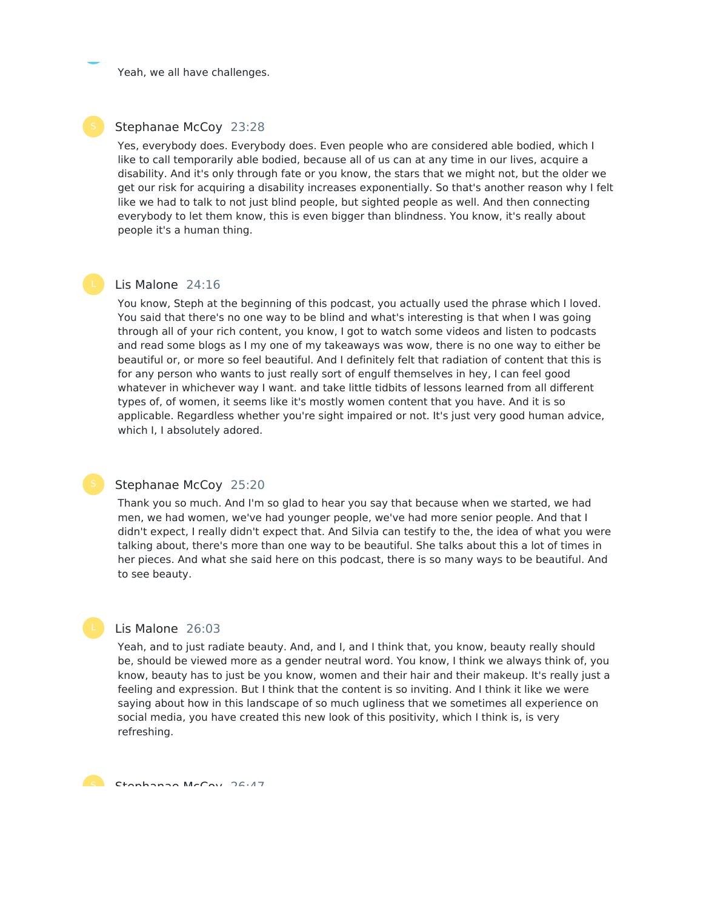Yeah, we all have challenges.

#### Stephanae McCoy 23:28

Yes, everybody does. Everybody does. Even people who are considered able bodied, which I like to call temporarily able bodied, because all of us can at any time in our lives, acquire a disability. And it's only through fate or you know, the stars that we might not, but the older we get our risk for acquiring a disability increases exponentially. So that's another reason why I felt like we had to talk to not just blind people, but sighted people as well. And then connecting everybody to let them know, this is even bigger than blindness. You know, it's really about people it's a human thing.

#### Lis Malone 24:16

You know, Steph at the beginning of this podcast, you actually used the phrase which I loved. You said that there's no one way to be blind and what's interesting is that when I was going through all of your rich content, you know, I got to watch some videos and listen to podcasts and read some blogs as I my one of my takeaways was wow, there is no one way to either be beautiful or, or more so feel beautiful. And I definitely felt that radiation of content that this is for any person who wants to just really sort of engulf themselves in hey, I can feel good whatever in whichever way I want. and take little tidbits of lessons learned from all different types of, of women, it seems like it's mostly women content that you have. And it is so applicable. Regardless whether you're sight impaired or not. It's just very good human advice, which I, I absolutely adored.

# Stephanae McCoy 25:20

Thank you so much. And I'm so glad to hear you say that because when we started, we had men, we had women, we've had younger people, we've had more senior people. And that I didn't expect, I really didn't expect that. And Silvia can testify to the, the idea of what you were talking about, there's more than one way to be beautiful. She talks about this a lot of times in her pieces. And what she said here on this podcast, there is so many ways to be beautiful. And to see beauty.

#### Lis Malone 26:03

Yeah, and to just radiate beauty. And, and I, and I think that, you know, beauty really should be, should be viewed more as a gender neutral word. You know, I think we always think of, you know, beauty has to just be you know, women and their hair and their makeup. It's really just a feeling and expression. But I think that the content is so inviting. And I think it like we were saying about how in this landscape of so much ugliness that we sometimes all experience on social media, you have created this new look of this positivity, which I think is, is very refreshing.

C Ctanhanaa McCou 26:47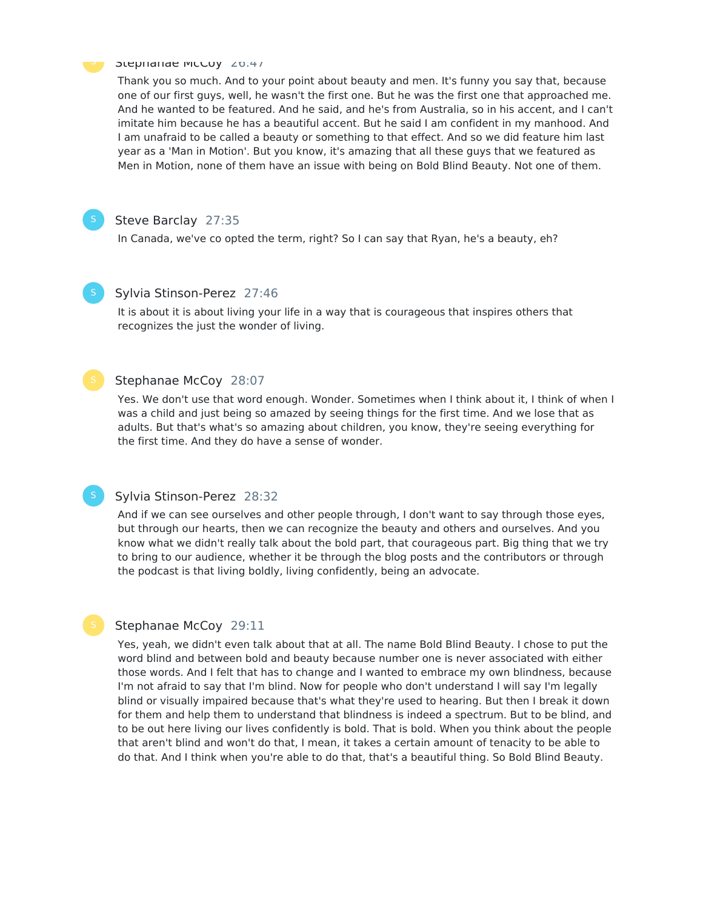#### **Stephanae McCoy** 2014/

Thank you so much. And to your point about beauty and men. It's funny you say that, because one of our first guys, well, he wasn't the first one. But he was the first one that approached me. And he wanted to be featured. And he said, and he's from Australia, so in his accent, and I can't imitate him because he has a beautiful accent. But he said I am confident in my manhood. And I am unafraid to be called a beauty or something to that effect. And so we did feature him last year as a 'Man in Motion'. But you know, it's amazing that all these guys that we featured as Men in Motion, none of them have an issue with being on Bold Blind Beauty. Not one of them.



# Steve Barclay 27:35

In Canada, we've co opted the term, right? So I can say that Ryan, he's a beauty, eh?

#### Sylvia Stinson-Perez 27:46

It is about it is about living your life in a way that is courageous that inspires others that recognizes the just the wonder of living.

#### Stephanae McCoy 28:07

Yes. We don't use that word enough. Wonder. Sometimes when I think about it, I think of when I was a child and just being so amazed by seeing things for the first time. And we lose that as adults. But that's what's so amazing about children, you know, they're seeing everything for the first time. And they do have a sense of wonder.

# Sylvia Stinson-Perez 28:32

And if we can see ourselves and other people through, I don't want to say through those eyes, but through our hearts, then we can recognize the beauty and others and ourselves. And you know what we didn't really talk about the bold part, that courageous part. Big thing that we try to bring to our audience, whether it be through the blog posts and the contributors or through the podcast is that living boldly, living confidently, being an advocate.

#### Stephanae McCoy 29:11

Yes, yeah, we didn't even talk about that at all. The name Bold Blind Beauty. I chose to put the word blind and between bold and beauty because number one is never associated with either those words. And I felt that has to change and I wanted to embrace my own blindness, because I'm not afraid to say that I'm blind. Now for people who don't understand I will say I'm legally blind or visually impaired because that's what they're used to hearing. But then I break it down for them and help them to understand that blindness is indeed a spectrum. But to be blind, and to be out here living our lives confidently is bold. That is bold. When you think about the people that aren't blind and won't do that, I mean, it takes a certain amount of tenacity to be able to do that. And I think when you're able to do that, that's a beautiful thing. So Bold Blind Beauty.

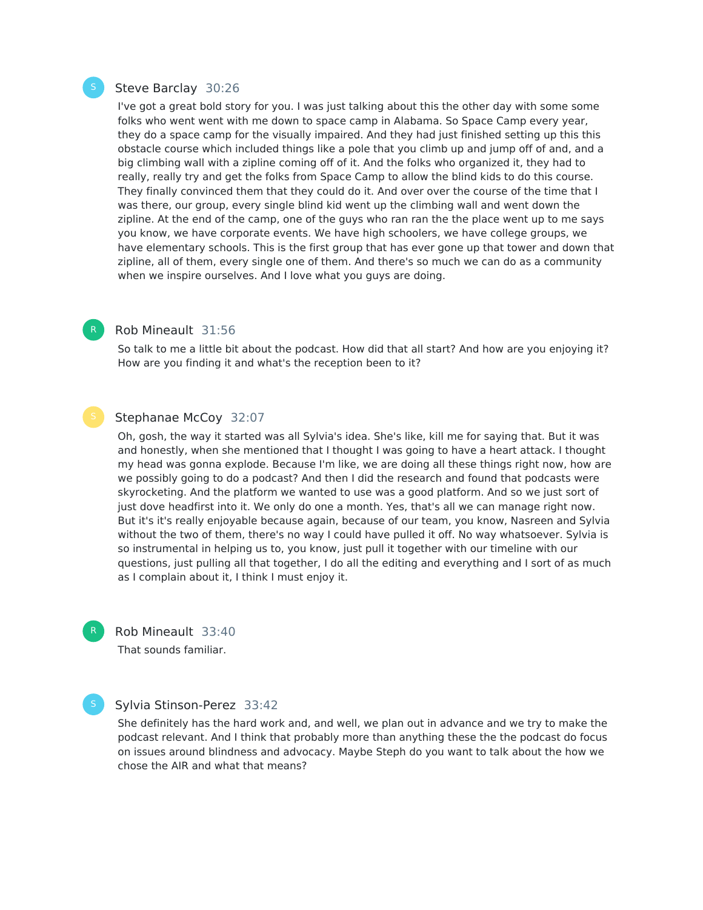#### Steve Barclay 30:26

I've got a great bold story for you. I was just talking about this the other day with some some folks who went went with me down to space camp in Alabama. So Space Camp every year, they do a space camp for the visually impaired. And they had just finished setting up this this obstacle course which included things like a pole that you climb up and jump off of and, and a big climbing wall with a zipline coming off of it. And the folks who organized it, they had to really, really try and get the folks from Space Camp to allow the blind kids to do this course. They finally convinced them that they could do it. And over over the course of the time that I was there, our group, every single blind kid went up the climbing wall and went down the zipline. At the end of the camp, one of the guys who ran ran the the place went up to me says you know, we have corporate events. We have high schoolers, we have college groups, we have elementary schools. This is the first group that has ever gone up that tower and down that zipline, all of them, every single one of them. And there's so much we can do as a community when we inspire ourselves. And I love what you guys are doing.

# Rob Mineault 31:56

So talk to me a little bit about the podcast. How did that all start? And how are you enjoying it? How are you finding it and what's the reception been to it?

#### Stephanae McCoy 32:07

Oh, gosh, the way it started was all Sylvia's idea. She's like, kill me for saying that. But it was and honestly, when she mentioned that I thought I was going to have a heart attack. I thought my head was gonna explode. Because I'm like, we are doing all these things right now, how are we possibly going to do a podcast? And then I did the research and found that podcasts were skyrocketing. And the platform we wanted to use was a good platform. And so we just sort of just dove headfirst into it. We only do one a month. Yes, that's all we can manage right now. But it's it's really enjoyable because again, because of our team, you know, Nasreen and Sylvia without the two of them, there's no way I could have pulled it off. No way whatsoever. Sylvia is so instrumental in helping us to, you know, just pull it together with our timeline with our questions, just pulling all that together, I do all the editing and everything and I sort of as much as I complain about it, I think I must enjoy it.

R

Rob Mineault 33:40

That sounds familiar.

#### Sylvia Stinson-Perez 33:42

She definitely has the hard work and, and well, we plan out in advance and we try to make the podcast relevant. And I think that probably more than anything these the the podcast do focus on issues around blindness and advocacy. Maybe Steph do you want to talk about the how we chose the AIR and what that means?

R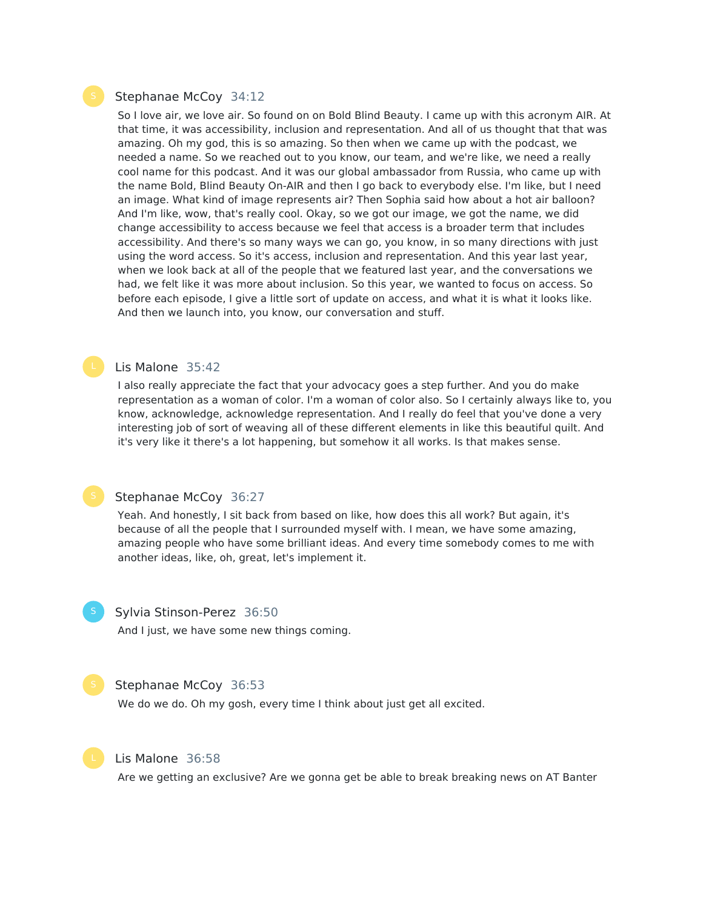#### Stephanae McCoy 34:12

So I love air, we love air. So found on on Bold Blind Beauty. I came up with this acronym AIR. At that time, it was accessibility, inclusion and representation. And all of us thought that that was amazing. Oh my god, this is so amazing. So then when we came up with the podcast, we needed a name. So we reached out to you know, our team, and we're like, we need a really cool name for this podcast. And it was our global ambassador from Russia, who came up with the name Bold, Blind Beauty On-AIR and then I go back to everybody else. I'm like, but I need an image. What kind of image represents air? Then Sophia said how about a hot air balloon? And I'm like, wow, that's really cool. Okay, so we got our image, we got the name, we did change accessibility to access because we feel that access is a broader term that includes accessibility. And there's so many ways we can go, you know, in so many directions with just using the word access. So it's access, inclusion and representation. And this year last year, when we look back at all of the people that we featured last year, and the conversations we had, we felt like it was more about inclusion. So this year, we wanted to focus on access. So before each episode, I give a little sort of update on access, and what it is what it looks like. And then we launch into, you know, our conversation and stuff.

#### Lis Malone 35:42

I also really appreciate the fact that your advocacy goes a step further. And you do make representation as a woman of color. I'm a woman of color also. So I certainly always like to, you know, acknowledge, acknowledge representation. And I really do feel that you've done a very interesting job of sort of weaving all of these different elements in like this beautiful quilt. And it's very like it there's a lot happening, but somehow it all works. Is that makes sense.

#### Stephanae McCoy 36:27

Yeah. And honestly, I sit back from based on like, how does this all work? But again, it's because of all the people that I surrounded myself with. I mean, we have some amazing, amazing people who have some brilliant ideas. And every time somebody comes to me with another ideas, like, oh, great, let's implement it.

#### Sylvia Stinson-Perez 36:50

And I just, we have some new things coming.

#### Stephanae McCoy 36:53

We do we do. Oh my gosh, every time I think about just get all excited.



# Lis Malone 36:58

Are we getting an exclusive? Are we gonna get be able to break breaking news on AT Banter

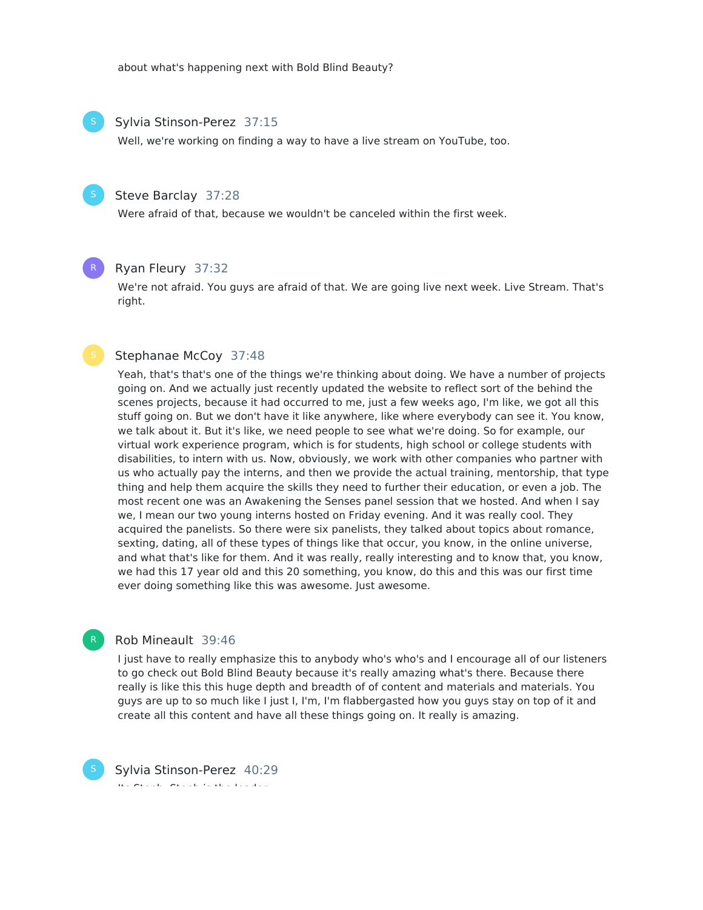about what's happening next with Bold Blind Beauty?



Well, we're working on finding a way to have a live stream on YouTube, too.

# Steve Barclay 37:28

Were afraid of that, because we wouldn't be canceled within the first week.

#### R

# Ryan Fleury 37:32

We're not afraid. You guys are afraid of that. We are going live next week. Live Stream. That's right.

#### Stephanae McCoy 37:48

Yeah, that's that's one of the things we're thinking about doing. We have a number of projects going on. And we actually just recently updated the website to reflect sort of the behind the scenes projects, because it had occurred to me, just a few weeks ago, I'm like, we got all this stuff going on. But we don't have it like anywhere, like where everybody can see it. You know, we talk about it. But it's like, we need people to see what we're doing. So for example, our virtual work experience program, which is for students, high school or college students with disabilities, to intern with us. Now, obviously, we work with other companies who partner with us who actually pay the interns, and then we provide the actual training, mentorship, that type thing and help them acquire the skills they need to further their education, or even a job. The most recent one was an Awakening the Senses panel session that we hosted. And when I say we, I mean our two young interns hosted on Friday evening. And it was really cool. They acquired the panelists. So there were six panelists, they talked about topics about romance, sexting, dating, all of these types of things like that occur, you know, in the online universe, and what that's like for them. And it was really, really interesting and to know that, you know, we had this 17 year old and this 20 something, you know, do this and this was our first time ever doing something like this was awesome. Just awesome.

### Rob Mineault 39:46

I just have to really emphasize this to anybody who's who's and I encourage all of our listeners to go check out Bold Blind Beauty because it's really amazing what's there. Because there really is like this this huge depth and breadth of of content and materials and materials. You guys are up to so much like I just I, I'm, I'm flabbergasted how you guys stay on top of it and create all this content and have all these things going on. It really is amazing.



Sylvia Stinson-Perez 40:29 Its Steph, Steph is the leader.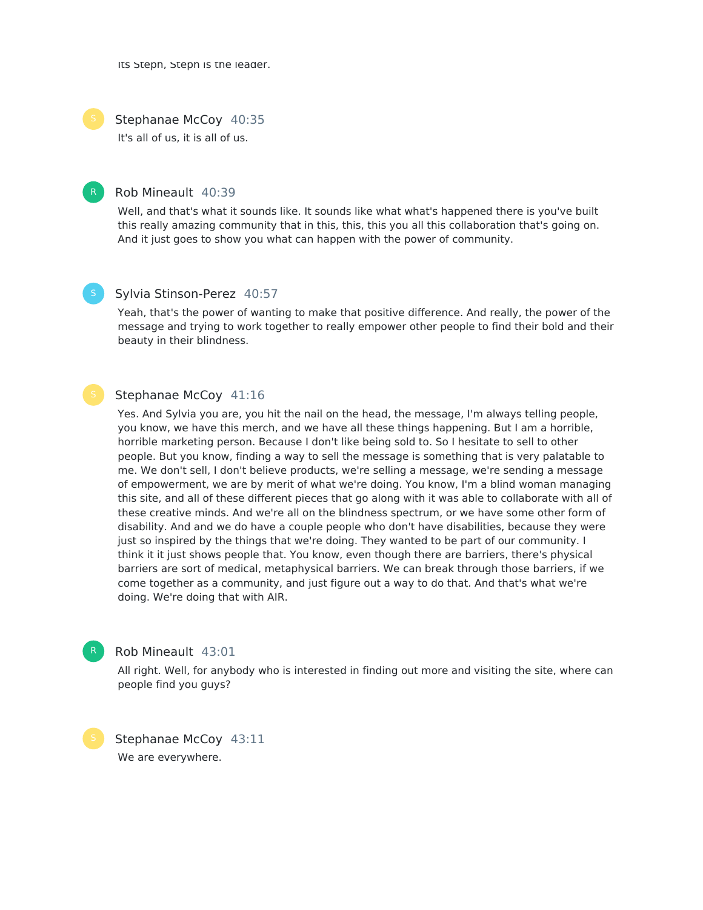Its Steph, Steph is the leader.



Stephanae McCoy 40:35

It's all of us, it is all of us.



#### Rob Mineault 40:39

Well, and that's what it sounds like. It sounds like what what's happened there is you've built this really amazing community that in this, this, this you all this collaboration that's going on. And it just goes to show you what can happen with the power of community.



#### Sylvia Stinson-Perez 40:57

Yeah, that's the power of wanting to make that positive difference. And really, the power of the message and trying to work together to really empower other people to find their bold and their beauty in their blindness.

#### Stephanae McCoy 41:16

Yes. And Sylvia you are, you hit the nail on the head, the message, I'm always telling people, you know, we have this merch, and we have all these things happening. But I am a horrible, horrible marketing person. Because I don't like being sold to. So I hesitate to sell to other people. But you know, finding a way to sell the message is something that is very palatable to me. We don't sell, I don't believe products, we're selling a message, we're sending a message of empowerment, we are by merit of what we're doing. You know, I'm a blind woman managing this site, and all of these different pieces that go along with it was able to collaborate with all of these creative minds. And we're all on the blindness spectrum, or we have some other form of disability. And and we do have a couple people who don't have disabilities, because they were just so inspired by the things that we're doing. They wanted to be part of our community. I think it it just shows people that. You know, even though there are barriers, there's physical barriers are sort of medical, metaphysical barriers. We can break through those barriers, if we come together as a community, and just figure out a way to do that. And that's what we're doing. We're doing that with AIR.



### Rob Mineault 43:01

All right. Well, for anybody who is interested in finding out more and visiting the site, where can people find you guys?

Stephanae McCoy 43:11 We are everywhere.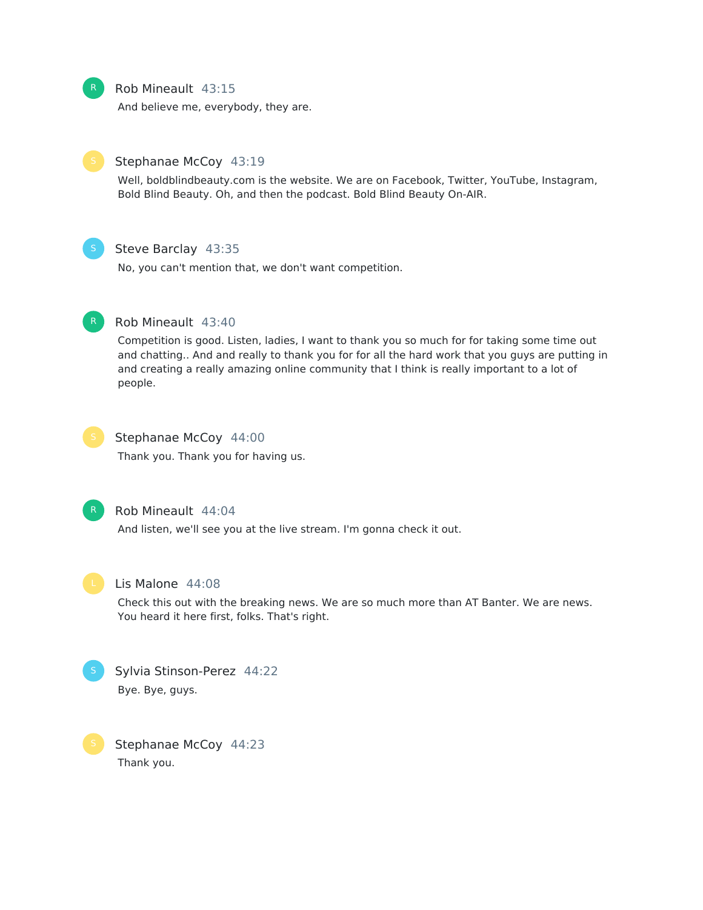

# Rob Mineault 43:15

And believe me, everybody, they are.



# Stephanae McCoy 43:19

Well, boldblindbeauty.com is the website. We are on Facebook, Twitter, YouTube, Instagram, Bold Blind Beauty. Oh, and then the podcast. Bold Blind Beauty On-AIR.



# Steve Barclay 43:35

No, you can't mention that, we don't want competition.



#### Rob Mineault 43:40

Competition is good. Listen, ladies, I want to thank you so much for for taking some time out and chatting.. And and really to thank you for for all the hard work that you guys are putting in and creating a really amazing online community that I think is really important to a lot of people.



# Stephanae McCoy 44:00

Thank you. Thank you for having us.



#### Rob Mineault 44:04

And listen, we'll see you at the live stream. I'm gonna check it out.



#### Lis Malone 44:08

Check this out with the breaking news. We are so much more than AT Banter. We are news. You heard it here first, folks. That's right.



# Sylvia Stinson-Perez 44:22 Bye. Bye, guys.

Stephanae McCoy 44:23 Thank you.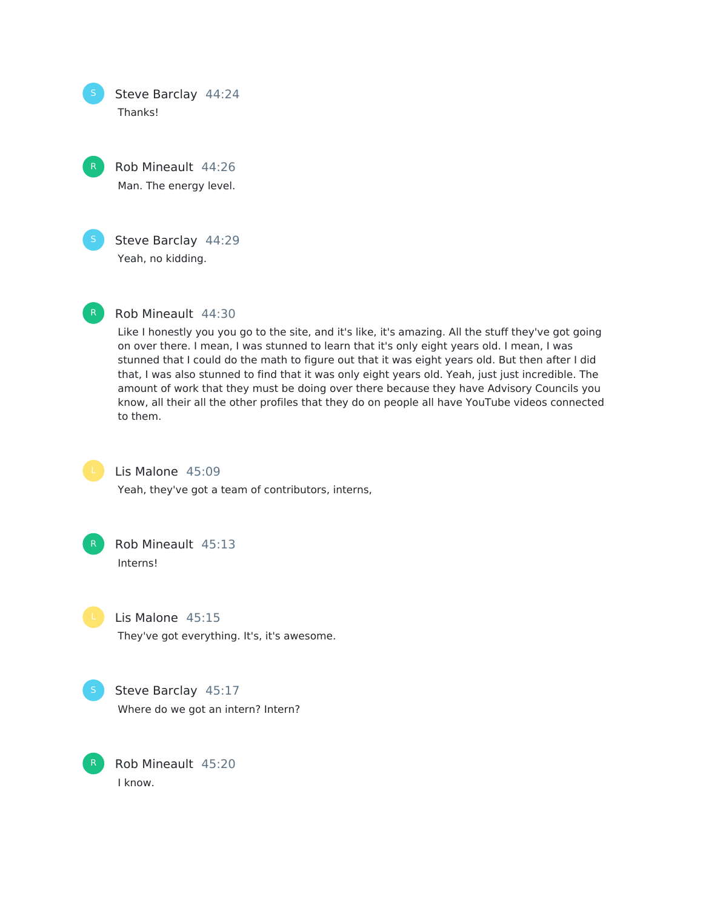Steve Barclay 44:24 Thanks!

Rob Mineault 44:26 Man. The energy level.



Steve Barclay 44:29

Yeah, no kidding.



# Rob Mineault 44:30

Like I honestly you you go to the site, and it's like, it's amazing. All the stuff they've got going on over there. I mean, I was stunned to learn that it's only eight years old. I mean, I was stunned that I could do the math to figure out that it was eight years old. But then after I did that, I was also stunned to find that it was only eight years old. Yeah, just just incredible. The amount of work that they must be doing over there because they have Advisory Councils you know, all their all the other profiles that they do on people all have YouTube videos connected to them.



# Lis Malone 45:09

Yeah, they've got a team of contributors, interns,



# Rob Mineault 45:13 Interns!

Lis Malone 45:15 They've got everything. It's, it's awesome.



Steve Barclay 45:17 Where do we got an intern? Intern?

Rob Mineault 45:20 I know.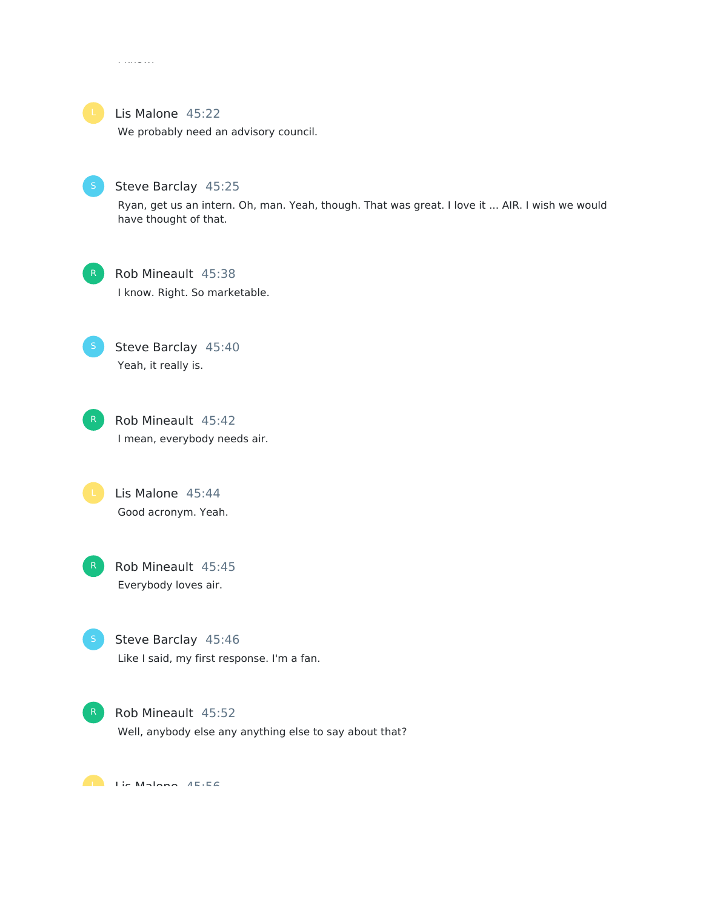

# Lis Malone 45:22

I know.

We probably need an advisory council.



# Steve Barclay 45:25

Ryan, get us an intern. Oh, man. Yeah, though. That was great. I love it ... AIR. I wish we would have thought of that.



# Rob Mineault 45:38 I know. Right. So marketable.

Steve Barclay 45:40 Yeah, it really is.



Lis Malone 45:44 Good acronym. Yeah.



Rob Mineault 45:45 Everybody loves air.

Steve Barclay 45:46 Like I said, my first response. I'm a fan.



Rob Mineault 45:52 Well, anybody else any anything else to say about that?

Lic Malono 45:56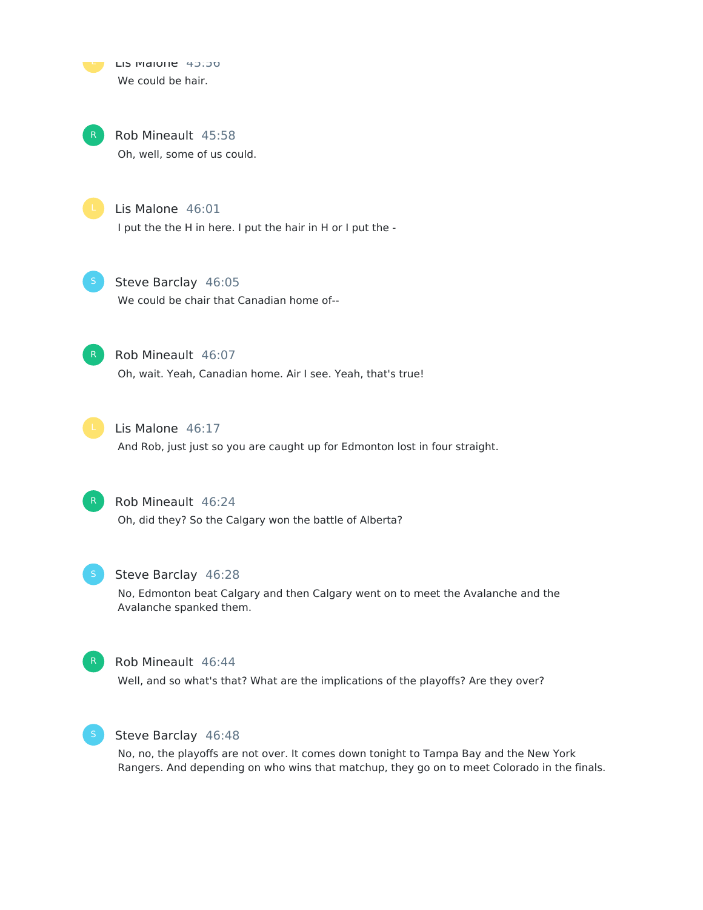LIS MAIUTIE 45:50 We could be hair.

Rob Mineault 45:58 Oh, well, some of us could.

Lis Malone 46:01 I put the the H in here. I put the hair in H or I put the -

Steve Barclay 46:05

We could be chair that Canadian home of--



Rob Mineault 46:07 Oh, wait. Yeah, Canadian home. Air I see. Yeah, that's true!



Lis Malone 46:17

And Rob, just just so you are caught up for Edmonton lost in four straight.



Rob Mineault 46:24

Oh, did they? So the Calgary won the battle of Alberta?



# Steve Barclay 46:28

No, Edmonton beat Calgary and then Calgary went on to meet the Avalanche and the Avalanche spanked them.



#### Rob Mineault 46:44

Well, and so what's that? What are the implications of the playoffs? Are they over?



# Steve Barclay 46:48

No, no, the playoffs are not over. It comes down tonight to Tampa Bay and the New York Rangers. And depending on who wins that matchup, they go on to meet Colorado in the finals.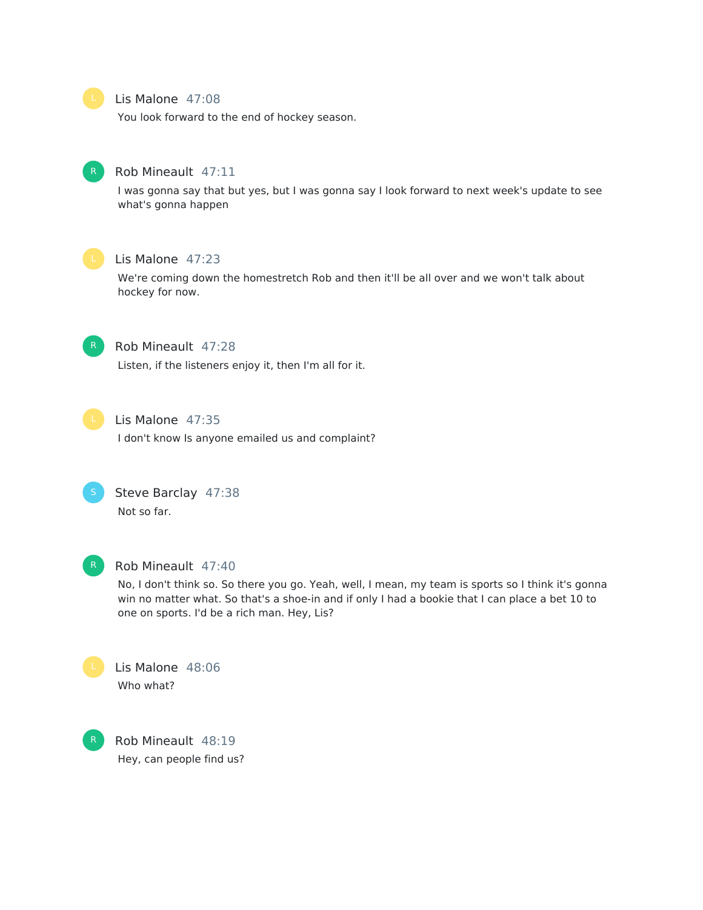

#### Lis Malone 47:08

You look forward to the end of hockey season.



#### Rob Mineault 47:11

I was gonna say that but yes, but I was gonna say I look forward to next week's update to see what's gonna happen



# Lis Malone 47:23

We're coming down the homestretch Rob and then it'll be all over and we won't talk about hockey for now.



#### Rob Mineault 47:28

Listen, if the listeners enjoy it, then I'm all for it.



# Lis Malone 47:35

I don't know Is anyone emailed us and complaint?



# Steve Barclay 47:38 Not so far.



# Rob Mineault 47:40

No, I don't think so. So there you go. Yeah, well, I mean, my team is sports so I think it's gonna win no matter what. So that's a shoe-in and if only I had a bookie that I can place a bet 10 to one on sports. I'd be a rich man. Hey, Lis?



Lis Malone 48:06 Who what?

Rob Mineault 48:19 Hey, can people find us?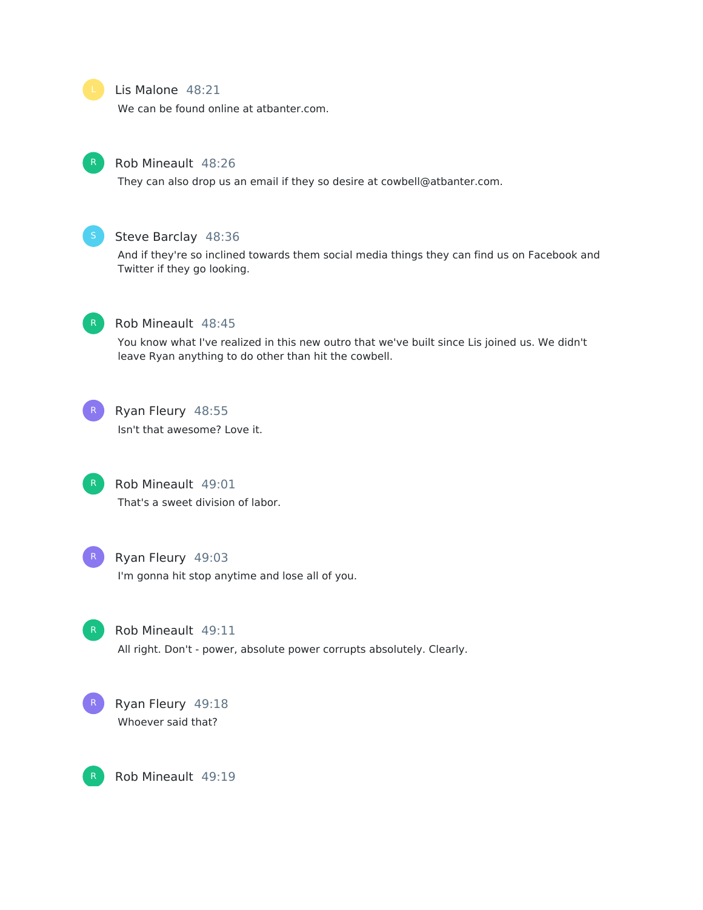# Lis Malone 48:21

We can be found online at atbanter.com.



#### Rob Mineault 48:26

They can also drop us an email if they so desire at cowbell@atbanter.com.



#### Steve Barclay 48:36

And if they're so inclined towards them social media things they can find us on Facebook and Twitter if they go looking.



# Rob Mineault 48:45

You know what I've realized in this new outro that we've built since Lis joined us. We didn't leave Ryan anything to do other than hit the cowbell.



# Ryan Fleury 48:55

Isn't that awesome? Love it.



# Rob Mineault 49:01 That's a sweet division of labor.



#### Ryan Fleury 49:03

I'm gonna hit stop anytime and lose all of you.



#### Rob Mineault 49:11

All right. Don't - power, absolute power corrupts absolutely. Clearly.



Rob Mineault 49:19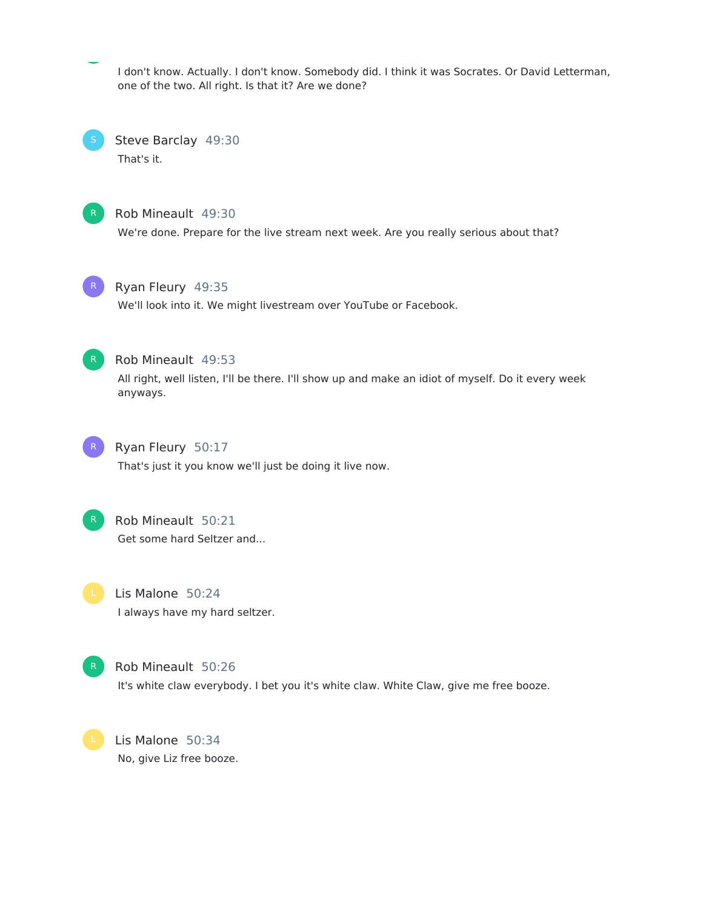I don't know. Actually. I don't know. Somebody did. I think it was Socrates. Or David Letterman, one of the two. All right. Is that it? Are we done?

Steve Barclay 49:30 That's it.



# Rob Mineault 49:30

We're done. Prepare for the live stream next week. Are you really serious about that?



# Ryan Fleury 49:35

We'll look into it. We might livestream over YouTube or Facebook.



# Rob Mineault 49:53

All right, well listen, I'll be there. I'll show up and make an idiot of myself. Do it every week anyways.



# Ryan Fleury 50:17

That's just it you know we'll just be doing it live now.



# Rob Mineault 50:21

Get some hard Seltzer and...

Lis Malone 50:24 I always have my hard seltzer.



Rob Mineault 50:26 It's white claw everybody. I bet you it's white claw. White Claw, give me free booze.

Lis Malone 50:34 No, give Liz free booze.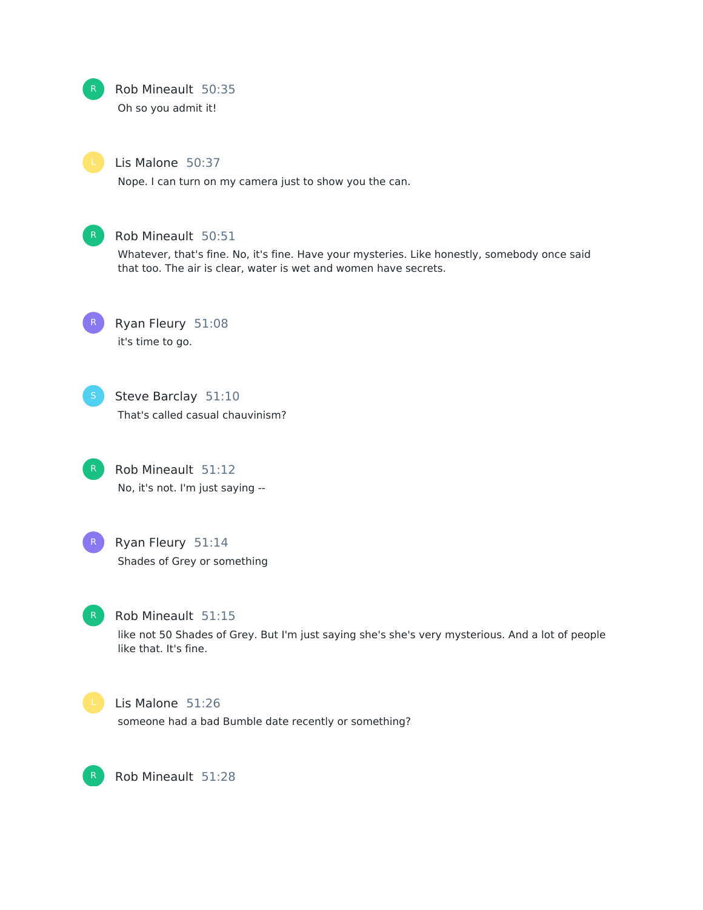

# Rob Mineault 50:35

Oh so you admit it!

### Lis Malone 50:37

Nope. I can turn on my camera just to show you the can.



# Rob Mineault 50:51

Whatever, that's fine. No, it's fine. Have your mysteries. Like honestly, somebody once said that too. The air is clear, water is wet and women have secrets.



Ryan Fleury 51:08 it's time to go.



Steve Barclay 51:10 That's called casual chauvinism?

Rob Mineault 51:12 No, it's not. I'm just saying -- R



# R Ryan Fleury 51:14 Shades of Grey or something



# Rob Mineault 51:15

like not 50 Shades of Grey. But I'm just saying she's she's very mysterious. And a lot of people like that. It's fine.



#### Lis Malone 51:26

someone had a bad Bumble date recently or something?

Rob Mineault 51:28